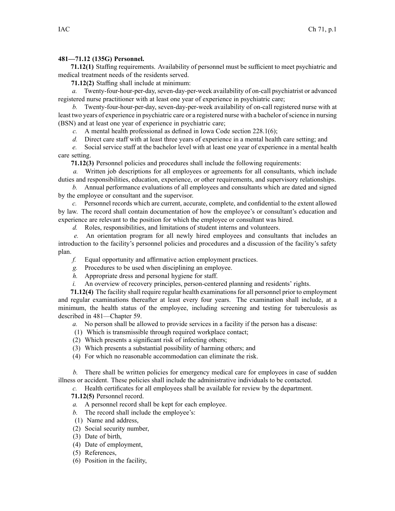## **481—71.12 (135G) Personnel.**

**71.12(1)** Staffing requirements. Availability of personnel must be sufficient to meet psychiatric and medical treatment needs of the residents served.

**71.12(2)** Staffing shall include at minimum:

*a.* Twenty-four-hour-per-day, seven-day-per-week availability of on-call psychiatrist or advanced registered nurse practitioner with at least one year of experience in psychiatric care;

*b.* Twenty-four-hour-per-day, seven-day-per-week availability of on-call registered nurse with at least two years of experience in psychiatric care or <sup>a</sup> registered nurse with <sup>a</sup> bachelor ofscience in nursing (BSN) and at least one year of experience in psychiatric care;

*c.* A mental health professional as defined in Iowa Code section [228.1\(6\)](https://www.legis.iowa.gov/docs/ico/section/228.1.pdf);

*d.* Direct care staff with at least three years of experience in <sup>a</sup> mental health care setting; and

*e.* Social service staff at the bachelor level with at least one year of experience in <sup>a</sup> mental health care setting.

**71.12(3)** Personnel policies and procedures shall include the following requirements:

*a.* Written job descriptions for all employees or agreements for all consultants, which include duties and responsibilities, education, experience, or other requirements, and supervisory relationships.

*b.* Annual performance evaluations of all employees and consultants which are dated and signed by the employee or consultant and the supervisor.

*c.* Personnel records which are current, accurate, complete, and confidential to the extent allowed by law. The record shall contain documentation of how the employee's or consultant's education and experience are relevant to the position for which the employee or consultant was hired.

*d.* Roles, responsibilities, and limitations of student interns and volunteers.

*e.* An orientation program for all newly hired employees and consultants that includes an introduction to the facility's personnel policies and procedures and <sup>a</sup> discussion of the facility's safety plan.

- *f.* Equal opportunity and affirmative action employment practices.
- *g.* Procedures to be used when disciplining an employee.
- *h.* Appropriate dress and personal hygiene for staff.
- *i.* An overview of recovery principles, person-centered planning and residents' rights.

**71.12(4)** The facility shall require regular health examinationsfor all personnel prior to employment and regular examinations thereafter at least every four years. The examination shall include, at <sup>a</sup> minimum, the health status of the employee, including screening and testing for tuberculosis as described in 481—Chapter 59.

*a.* No person shall be allowed to provide services in <sup>a</sup> facility if the person has <sup>a</sup> disease:

- (1) Which is transmissible through required workplace contact;
- (2) Which presents <sup>a</sup> significant risk of infecting others;
- (3) Which presents <sup>a</sup> substantial possibility of harming others; and
- (4) For which no reasonable accommodation can eliminate the risk.

*b.* There shall be written policies for emergency medical care for employees in case of sudden illness or accident. These policies shall include the administrative individuals to be contacted.

*c.* Health certificates for all employees shall be available for review by the department.

**71.12(5)** Personnel record.

- *a.* A personnel record shall be kept for each employee.
- *b.* The record shall include the employee's:
- (1) Name and address,
- (2) Social security number,
- (3) Date of birth,
- (4) Date of employment,
- (5) References,
- (6) Position in the facility,